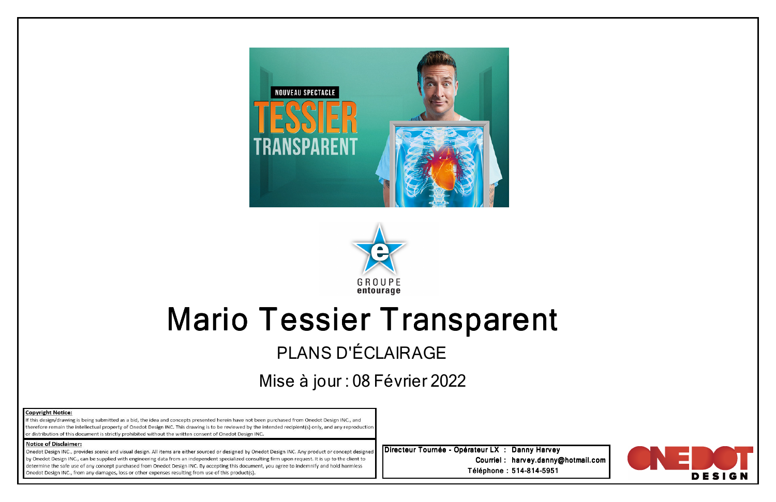



## Mario Tessier TransparentPLANS D'ÉCLAIRAGE

Mise à jour : 08 Février 2022

| <b>Copyright Notice:</b> |  |
|--------------------------|--|
|--------------------------|--|

If this design/drawing is being submitted as a bid, the idea and concepts presented herein have not been purchased from Onedot Design INC., and therefore remain the intellectual property of Onedot Design INC. This drawing is to be reviewed by the intended recipient(s) only, and any reproduction or distribution of this document is strictly prohibited without the written consent of Onedot Design INC.

## **Notice of Disclaimer:**

Onedot Design INC., provides scenic and visual design. All items are either sourced or designed by Onedot Design INC. Any product or concept designed by Onedot Design INC., can be supplied with engineering data from an independent specialized consulting firm upon request. It is up to the client to determine the safe use of any concept purchased from Onedot Design INC. By accepting this document, you agree to indemnify and hold harmless Onedot Design INC., from any damages, loss or other expenses resulting from use of this product(s).

Directeur Tournée - Opérateur LX : Danny Harvey Courriel : harvey.danny@hotmail.com<br>... Téléphone : 514-814-5951

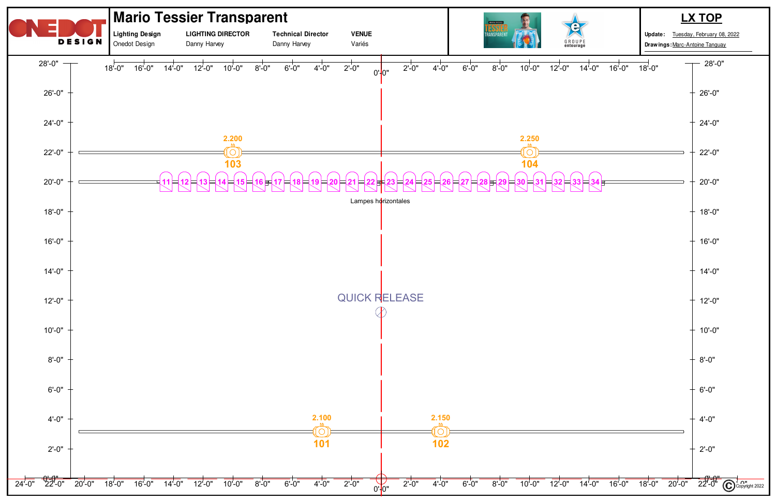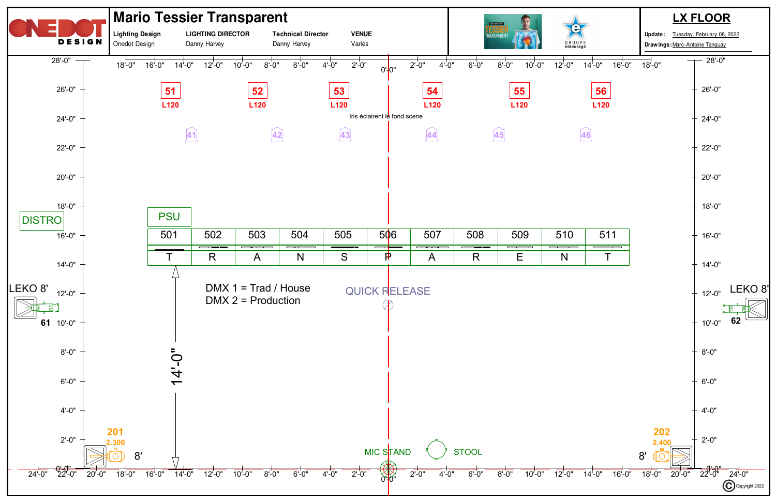